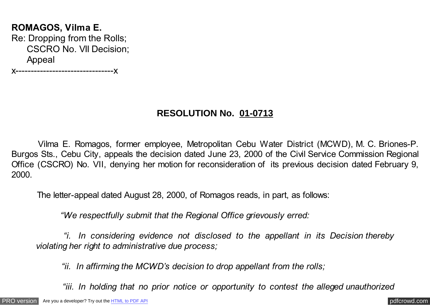# **ROMAGOS, Vilma E.** Re: Dropping from the Rolls; CSCRO No. VII Decision; Appeal

x--------------------------------x

## **RESOLUTION No. 01-0713**

 Vilma E. Romagos, former employee, Metropolitan Cebu Water District (MCWD), M. C. Briones-P. Burgos Sts., Cebu City, appeals the decision dated June 23, 2000 of the Civil Service Commission Regional Office (CSCRO) No. VII, denying her motion for reconsideration of its previous decision dated February 9, 2000.

The letter-appeal dated August 28, 2000, of Romagos reads, in part, as follows:

*"We respectfully submit that the Regional Office grievously erred:*

 *"i. In considering evidence not disclosed to the appellant in its Decision thereby violating her right to administrative due process;*

 *"ii. In affirming the MCWD's decision to drop appellant from the rolls;*

 *"iii. In holding that no prior notice or opportunity to contest the alleged unauthorized*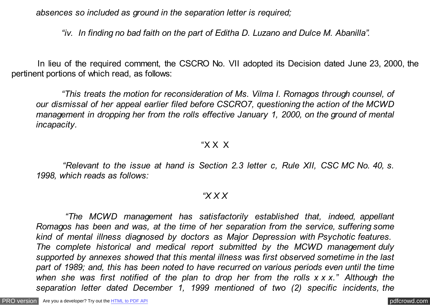*absences so included as ground in the separation letter is required;*

 *"iv. In finding no bad faith on the part of Editha D. Luzano and Dulce M. Abanilla".*

 In lieu of the required comment, the CSCRO No. VII adopted its Decision dated June 23, 2000, the pertinent portions of which read, as follows:

 *"This treats the motion for reconsideration of Ms. Vilma I. Romagos through counsel, of our dismissal of her appeal earlier filed before CSCRO7, questioning the action of the MCWD management in dropping her from the rolls effective January 1, 2000, on the ground of mental incapacity.*

#### "X X X

 *"Relevant to the issue at hand is Section 2.3 letter c, Rule XII, CSC MC No. 40, s. 1998, which reads as follows:*

#### *"X X X*

 *"The MCWD management has satisfactorily established that, indeed, appellant Romagos has been and was, at the time of her separation from the service, suffering some kind of mental illness diagnosed by doctors as Major Depression with Psychotic features. The complete historical and medical report submitted by the MCWD management duly supported by annexes showed that this mental illness was first observed sometime in the last part of 1989; and, this has been noted to have recurred on various periods even until the time when she was first notified of the plan to drop her from the rolls x x x." Although the separation letter dated December 1, 1999 mentioned of two (2) specific incidents, the*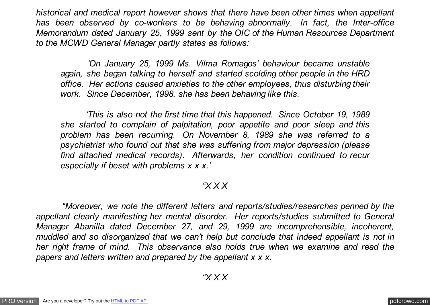*historical and medical report however shows that there have been other times when appellant has been observed by co-workers to be behaving abnormally. In fact, the Inter-office Memorandum dated January 25, 1999 sent by the OIC of the Human Resources Department to the MCWD General Manager partly states as follows:*

 *'On January 25, 1999 Ms. Vilma Romagos' behaviour became unstable again, she began talking to herself and started scolding other people in the HRD office. Her actions caused anxieties to the other employees, thus disturbing their work. Since December, 1998, she has been behaving like this.*

 *'This is also not the first time that this happened. Since October 19, 1989 she started to complain of palpitation, poor appetite and poor sleep and this problem has been recurring. On November 8, 1989 she was referred to a psychiatrist who found out that she was suffering from major depression (please find attached medical records). Afterwards, her condition continued to recur especially if beset with problems x x x.'*

## *"X X X*

 *"Moreover, we note the different letters and reports/studies/researches penned by the appellant clearly manifesting her mental disorder. Her reports/studies submitted to General Manager Abanilla dated December 27, and 29, 1999 are incomprehensible, incoherent, muddled and so disorganized that we can't help but conclude that indeed appellant is not in her right frame of mind. This observance also holds true when we examine and read the papers and letters written and prepared by the appellant x x x.*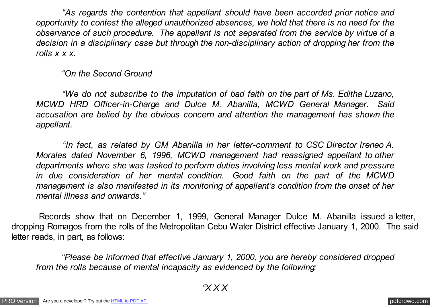*"As regards the contention that appellant should have been accorded prior notice and opportunity to contest the alleged unauthorized absences, we hold that there is no need for the observance of such procedure. The appellant is not separated from the service by virtue of a decision in a disciplinary case but through the non-disciplinary action of dropping her from the rolls x x x.*

#### *"On the Second Ground*

 *"We do not subscribe to the imputation of bad faith on the part of Ms. Editha Luzano, MCWD HRD Officer-in-Charge and Dulce M. Abanilla, MCWD General Manager. Said accusation are belied by the obvious concern and attention the management has shown the appellant.*

 *"In fact, as related by GM Abanilla in her letter-comment to CSC Director Ireneo A. Morales dated November 6, 1996, MCWD management had reassigned appellant to other departments where she was tasked to perform duties involving less mental work and pressure in due consideration of her mental condition. Good faith on the part of the MCWD management is also manifested in its monitoring of appellant's condition from the onset of her mental illness and onwards."*

 Records show that on December 1, 1999, General Manager Dulce M. Abanilla issued a letter, dropping Romagos from the rolls of the Metropolitan Cebu Water District effective January 1, 2000. The said letter reads, in part, as follows:

 *"Please be informed that effective January 1, 2000, you are hereby considered dropped from the rolls because of mental incapacity as evidenced by the following:*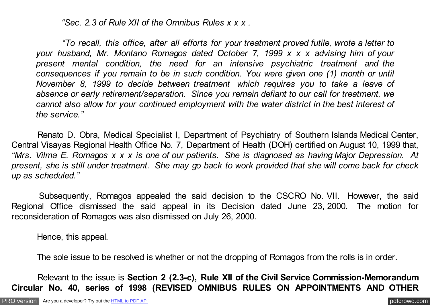*"Sec. 2.3 of Rule XII of the Omnibus Rules x x x .*

 *"To recall, this office, after all efforts for your treatment proved futile, wrote a letter to your husband, Mr. Montano Romagos dated October 7, 1999 x x x advising him of your present mental condition, the need for an intensive psychiatric treatment and the consequences if you remain to be in such condition. You were given one (1) month or until November 8, 1999 to decide between treatment which requires you to take a leave of absence or early retirement/separation. Since you remain defiant to our call for treatment, we cannot also allow for your continued employment with the water district in the best interest of the service."*

 Renato D. Obra, Medical Specialist I, Department of Psychiatry of Southern Islands Medical Center, Central Visayas Regional Health Office No. 7, Department of Health (DOH) certified on August 10, 1999 that, *"Mrs. Vilma E. Romagos x x x is one of our patients. She is diagnosed as having Major Depression. At present, she is still under treatment. She may go back to work provided that she will come back for check up as scheduled."*

 Subsequently, Romagos appealed the said decision to the CSCRO No. VII. However, the said Regional Office dismissed the said appeal in its Decision dated June 23, 2000. The motion for reconsideration of Romagos was also dismissed on July 26, 2000.

Hence, this appeal.

The sole issue to be resolved is whether or not the dropping of Romagos from the rolls is in order.

 Relevant to the issue is **Section 2 (2.3-c), Rule XII of the Civil Service Commission-Memorandum Circular No. 40, series of 1998 (REVISED OMNIBUS RULES ON APPOINTMENTS AND OTHER**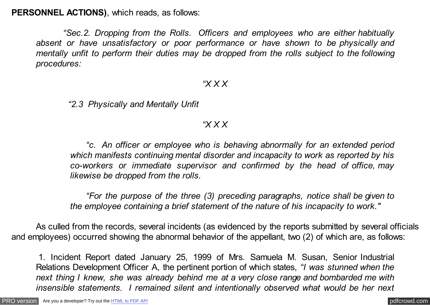**PERSONNEL ACTIONS)**, which reads, as follows:

 *"Sec.2. Dropping from the Rolls. Officers and employees who are either habitually absent or have unsatisfactory or poor performance or have shown to be physically and mentally unfit to perform their duties may be dropped from the rolls subject to the following procedures:*

#### *"X X X*

 *"2.3 Physically and Mentally Unfit*

## *"X X X*

 *"c. An officer or employee who is behaving abnormally for an extended period which manifests continuing mental disorder and incapacity to work as reported by his co-workers or immediate supervisor and confirmed by the head of office, may likewise be dropped from the rolls.*

 *"For the purpose of the three (3) preceding paragraphs, notice shall be given to the employee containing a brief statement of the nature of his incapacity to work."*

As culled from the records, several incidents (as evidenced by the reports submitted by several officials and employees) occurred showing the abnormal behavior of the appellant, two (2) of which are, as follows:

1. Incident Report dated January 25, 1999 of Mrs. Samuela M. Susan, Senior Industrial Relations Development Officer A, the pertinent portion of which states, *"I was stunned when the next thing I knew, she was already behind me at a very close range and bombarded me with insensible statements. I remained silent and intentionally observed what would be her next*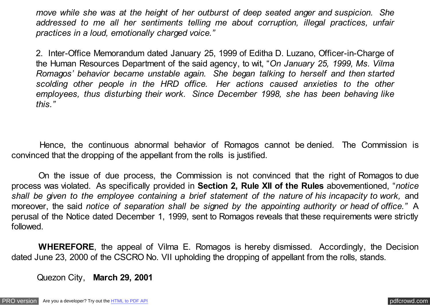*move while she was at the height of her outburst of deep seated anger and suspicion. She addressed to me all her sentiments telling me about corruption, illegal practices, unfair practices in a loud, emotionally charged voice."*

2. Inter-Office Memorandum dated January 25, 1999 of Editha D. Luzano, Officer-in-Charge of the Human Resources Department of the said agency, to wit, "*On January 25, 1999, Ms. Vilma Romagos' behavior became unstable again. She began talking to herself and then started scolding other people in the HRD office. Her actions caused anxieties to the other employees, thus disturbing their work. Since December 1998, she has been behaving like this."*

 Hence, the continuous abnormal behavior of Romagos cannot be denied. The Commission is convinced that the dropping of the appellant from the rolls is justified.

 On the issue of due process, the Commission is not convinced that the right of Romagos to due process was violated. As specifically provided in **Section 2, Rule XII of the Rules** abovementioned, "*notice shall be given to the employee containing a brief statement of the nature of his incapacity to work,* and moreover, the said *notice of separation shall be signed by the appointing authority or head of office.*" A perusal of the Notice dated December 1, 1999, sent to Romagos reveals that these requirements were strictly followed.

 **WHEREFORE**, the appeal of Vilma E. Romagos is hereby dismissed. Accordingly, the Decision dated June 23, 2000 of the CSCRO No. VII upholding the dropping of appellant from the rolls, stands.

Quezon City, **March 29, 2001**